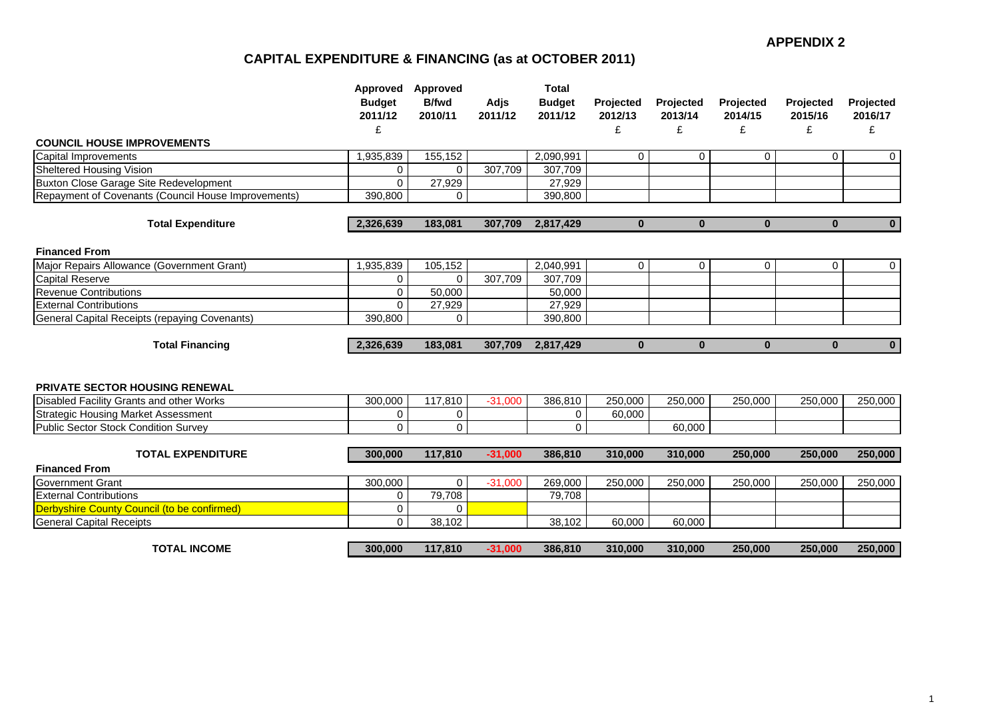#### **APPENDIX 2**

# **CAPITAL EXPENDITURE & FINANCING (as at OCTOBER 2011)**

|                                                     | Approved<br><b>Budget</b><br>2011/12<br>£ | Approved<br><b>B/fwd</b><br>2010/11 | Adjs<br>2011/12 | <b>Total</b><br><b>Budget</b><br>2011/12 | Projected<br>2012/13<br>£ | Projected<br>2013/14<br>£ | Projected<br>2014/15<br>£ | Projected<br>2015/16<br>£ | Projected<br>2016/17<br>£ |
|-----------------------------------------------------|-------------------------------------------|-------------------------------------|-----------------|------------------------------------------|---------------------------|---------------------------|---------------------------|---------------------------|---------------------------|
| <b>COUNCIL HOUSE IMPROVEMENTS</b>                   |                                           |                                     |                 |                                          |                           |                           |                           |                           |                           |
| <b>Capital Improvements</b>                         | 1,935,839                                 | 155,152                             |                 | 2,090,991                                | 0                         | $\mathbf 0$               | $\overline{0}$            | 0                         | 0                         |
| Sheltered Housing Vision                            | $\mathbf 0$                               | $\Omega$                            | 307,709         | 307,709                                  |                           |                           |                           |                           |                           |
| Buxton Close Garage Site Redevelopment              | $\Omega$                                  | 27,929                              |                 | 27,929                                   |                           |                           |                           |                           |                           |
| Repayment of Covenants (Council House Improvements) | 390,800                                   | 0                                   |                 | 390.800                                  |                           |                           |                           |                           |                           |
| <b>Total Expenditure</b>                            | 2,326,639                                 | 183,081                             | 307,709         | 2,817,429                                | $\mathbf{0}$              | $\mathbf{0}$              | $\mathbf{0}$              | $\mathbf{0}$              | $\mathbf 0$               |
| <b>Financed From</b>                                |                                           |                                     |                 |                                          |                           |                           |                           |                           |                           |
| Major Repairs Allowance (Government Grant)          | 1,935,839                                 | 105,152                             |                 | 2,040,991                                | 0                         | $\mathbf 0$               | $\mathbf 0$               | $\Omega$                  | $\mathbf 0$               |
| <b>Capital Reserve</b>                              | $\mathbf 0$                               | $\Omega$                            | 307,709         | 307,709                                  |                           |                           |                           |                           |                           |
| <b>Revenue Contributions</b>                        | 0                                         | 50,000                              |                 | 50.000                                   |                           |                           |                           |                           |                           |
| <b>External Contributions</b>                       | $\Omega$                                  | 27,929                              |                 | 27,929                                   |                           |                           |                           |                           |                           |
| General Capital Receipts (repaying Covenants)       | 390,800                                   | $\Omega$                            |                 | 390,800                                  |                           |                           |                           |                           |                           |
| <b>Total Financing</b>                              | 2,326,639                                 | 183,081                             | 307,709         | 2,817,429                                | $\bf{0}$                  | $\bf{0}$                  | $\mathbf{0}$              | $\bf{0}$                  | $\mathbf{0}$              |
|                                                     |                                           |                                     |                 |                                          |                           |                           |                           |                           |                           |
| <b>PRIVATE SECTOR HOUSING RENEWAL</b>               |                                           |                                     |                 |                                          |                           |                           |                           |                           |                           |
| Disabled Facility Grants and other Works            | 300,000                                   | 117,810                             | $-31,000$       | 386,810                                  | 250,000                   | 250,000                   | 250,000                   | 250,000                   | 250,000                   |
| <b>Strategic Housing Market Assessment</b>          | 0                                         | 0                                   |                 | 0                                        | 60,000                    |                           |                           |                           |                           |
| Public Sector Stock Condition Survey                | $\Omega$                                  | 0                                   |                 | 0                                        |                           | 60,000                    |                           |                           |                           |
| <b>TOTAL EXPENDITURE</b>                            | 300,000                                   | 117,810                             | $-31,000$       | 386,810                                  | 310,000                   | 310,000                   | 250,000                   | 250,000                   | 250,000                   |
| <b>Financed From</b>                                |                                           |                                     |                 |                                          |                           |                           |                           |                           |                           |
| <b>Government Grant</b>                             | 300,000                                   | 0                                   | $-31,000$       | 269,000                                  | 250,000                   | 250,000                   | 250,000                   | 250,000                   | 250,000                   |
| <b>External Contributions</b>                       | 0                                         | 79,708                              |                 | 79,708                                   |                           |                           |                           |                           |                           |
| Derbyshire County Council (to be confirmed)         | 0                                         | 0                                   |                 |                                          |                           |                           |                           |                           |                           |
| <b>General Capital Receipts</b>                     | $\mathbf 0$                               | 38,102                              |                 | 38,102                                   | 60,000                    | 60,000                    |                           |                           |                           |
| <b>TOTAL INCOME</b>                                 | 300,000                                   | 117,810                             | $-31,000$       | 386,810                                  | 310,000                   | 310,000                   | 250,000                   | 250,000                   | 250,000                   |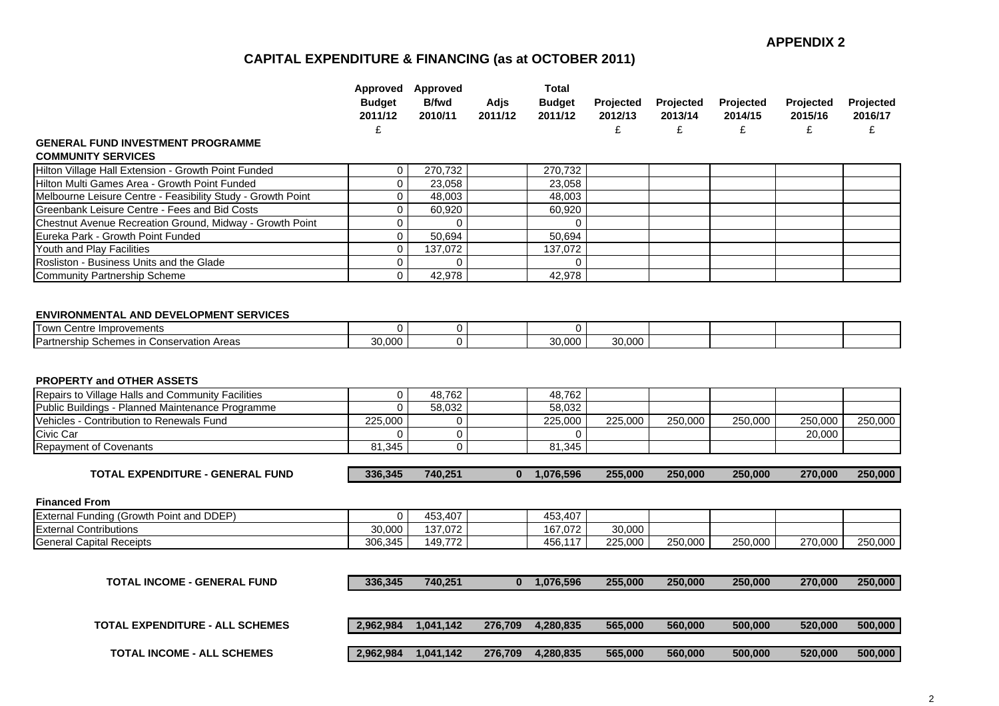## **CAPITAL EXPENDITURE & FINANCING (as at OCTOBER 2011)**

|                                                                                                                                                                                              | <b>Budget</b><br>2011/12<br>£ | Approved Approved<br><b>B/fwd</b><br>2010/11 | Adjs<br>2011/12 | Total<br><b>Budget</b><br>2011/12 | <b>Projected</b><br>2012/13<br>£ | Projected<br>2013/14<br>£ | Projected<br>2014/15<br>£ | Projected<br>2015/16<br>£ | Projected<br>2016/17<br>£ |
|----------------------------------------------------------------------------------------------------------------------------------------------------------------------------------------------|-------------------------------|----------------------------------------------|-----------------|-----------------------------------|----------------------------------|---------------------------|---------------------------|---------------------------|---------------------------|
| <b>GENERAL FUND INVESTMENT PROGRAMME</b>                                                                                                                                                     |                               |                                              |                 |                                   |                                  |                           |                           |                           |                           |
| <b>COMMUNITY SERVICES</b>                                                                                                                                                                    |                               |                                              |                 |                                   |                                  |                           |                           |                           |                           |
| Hilton Village Hall Extension - Growth Point Funded                                                                                                                                          | 0                             | 270,732                                      |                 | 270,732                           |                                  |                           |                           |                           |                           |
| Hilton Multi Games Area - Growth Point Funded                                                                                                                                                | $\mathbf 0$                   | 23,058                                       |                 | 23,058                            |                                  |                           |                           |                           |                           |
| Melbourne Leisure Centre - Feasibility Study - Growth Point                                                                                                                                  | 0                             | 48,003                                       |                 | 48,003                            |                                  |                           |                           |                           |                           |
| Greenbank Leisure Centre - Fees and Bid Costs                                                                                                                                                | 0                             | 60,920                                       |                 | 60,920                            |                                  |                           |                           |                           |                           |
| Chestnut Avenue Recreation Ground, Midway - Growth Point                                                                                                                                     | 0                             | $\mathbf 0$                                  |                 | $\mathbf 0$                       |                                  |                           |                           |                           |                           |
| Eureka Park - Growth Point Funded                                                                                                                                                            | $\mathbf 0$                   | 50,694                                       |                 | 50,694                            |                                  |                           |                           |                           |                           |
| Youth and Play Facilities                                                                                                                                                                    | $\mathbf 0$                   | 137,072                                      |                 | 137,072                           |                                  |                           |                           |                           |                           |
| Rosliston - Business Units and the Glade                                                                                                                                                     | 0                             | $\mathbf 0$                                  |                 | $\mathbf{0}$                      |                                  |                           |                           |                           |                           |
| <b>Community Partnership Scheme</b>                                                                                                                                                          | $\Omega$                      | 42,978                                       |                 | 42,978                            |                                  |                           |                           |                           |                           |
| <b>ENVIRONMENTAL AND DEVELOPMENT SERVICES</b>                                                                                                                                                |                               |                                              |                 |                                   |                                  |                           |                           |                           |                           |
| <b>Town Centre Improvements</b><br>Partnership Schemes in Conservation Areas                                                                                                                 | $\Omega$<br>30,000            | 0<br>$\overline{0}$                          |                 | 0<br>30,000                       | 30,000                           |                           |                           |                           |                           |
| <b>PROPERTY and OTHER ASSETS</b><br>Repairs to Village Halls and Community Facilities<br>Public Buildings - Planned Maintenance Programme<br><b>Vehicles - Contribution to Renewals Fund</b> | 0<br>$\mathbf 0$<br>225,000   | 48,762<br>58,032<br>0                        |                 | 48,762<br>58,032<br>225,000       | 225,000                          | 250,000                   | 250,000                   | 250,000                   | 250,000                   |
| Civic Car                                                                                                                                                                                    | $\Omega$                      | 0                                            |                 | 0                                 |                                  |                           |                           | 20,000                    |                           |
| <b>Repayment of Covenants</b>                                                                                                                                                                | 81,345                        | 0                                            |                 | 81,345                            |                                  |                           |                           |                           |                           |
| <b>TOTAL EXPENDITURE - GENERAL FUND</b>                                                                                                                                                      | 336,345                       | 740,251                                      |                 | 0 1,076,596                       | 255,000                          | 250,000                   | 250,000                   | 270,000                   | 250,000                   |
| <b>Financed From</b>                                                                                                                                                                         |                               |                                              |                 |                                   |                                  |                           |                           |                           |                           |
| External Funding (Growth Point and DDEP)                                                                                                                                                     | $\mathbf 0$                   | 453,407                                      |                 | 453,407                           |                                  |                           |                           |                           |                           |
| <b>External Contributions</b>                                                                                                                                                                | 30,000                        | 137,072                                      |                 | 167,072                           | 30,000                           |                           |                           |                           |                           |
| <b>General Capital Receipts</b>                                                                                                                                                              | 306,345                       | 149,772                                      |                 | 456,117                           | 225,000                          | 250,000                   | 250,000                   | 270,000                   | 250,000                   |
|                                                                                                                                                                                              |                               |                                              |                 |                                   |                                  |                           |                           |                           |                           |
| <b>TOTAL INCOME - GENERAL FUND</b>                                                                                                                                                           | 336,345                       | 740,251                                      |                 | $0$ 1,076,596                     | 255,000                          | 250,000                   | 250,000                   | 270,000                   | 250,000                   |
|                                                                                                                                                                                              |                               |                                              |                 |                                   |                                  |                           |                           |                           |                           |
| <b>TOTAL EXPENDITURE - ALL SCHEMES</b>                                                                                                                                                       | 2,962,984                     | 1,041,142                                    | 276,709         | 4,280,835                         | 565,000                          | 560,000                   | 500,000                   | 520,000                   | 500,000                   |
| <b>TOTAL INCOME - ALL SCHEMES</b>                                                                                                                                                            |                               | 2,962,984 1,041,142                          |                 | 276,709 4,280,835                 | 565,000                          | 560,000                   | 500,000                   | 520,000                   | 500,000                   |